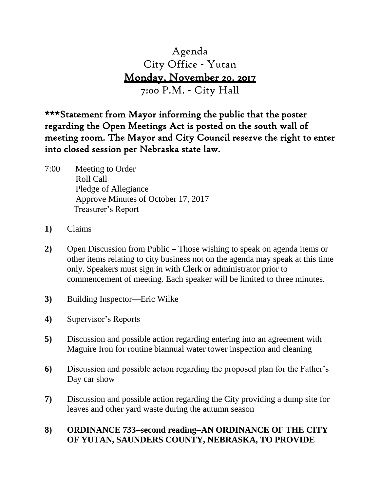# Agenda City Office - Yutan Monday, November 20, 2017 7:00 P.M. - City Hall

\*\*\*Statement from Mayor informing the public that the poster regarding the Open Meetings Act is posted on the south wall of meeting room. The Mayor and City Council reserve the right to enter into closed session per Nebraska state law.

- 7:00 Meeting to Order Roll Call Pledge of Allegiance Approve Minutes of October 17, 2017 Treasurer's Report
- **1)** Claims
- **2)** Open Discussion from Public **–** Those wishing to speak on agenda items or other items relating to city business not on the agenda may speak at this time only. Speakers must sign in with Clerk or administrator prior to commencement of meeting. Each speaker will be limited to three minutes.
- **3)** Building Inspector—Eric Wilke
- **4)** Supervisor's Reports
- **5)** Discussion and possible action regarding entering into an agreement with Maguire Iron for routine biannual water tower inspection and cleaning
- **6)** Discussion and possible action regarding the proposed plan for the Father's Day car show
- **7)** Discussion and possible action regarding the City providing a dump site for leaves and other yard waste during the autumn season

# **8) ORDINANCE 733second readingAN ORDINANCE OF THE CITY OF YUTAN, SAUNDERS COUNTY, NEBRASKA, TO PROVIDE**